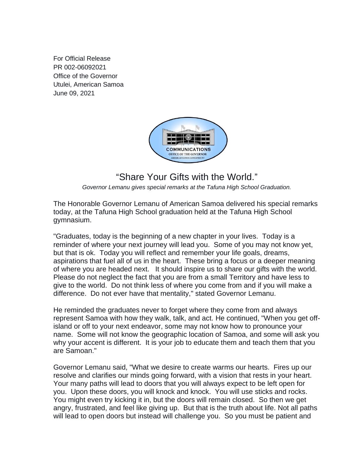For Official Release PR 002-06092021 Office of the Governor Utulei, American Samoa June 09, 2021



## "Share Your Gifts with the World."

*Governor Lemanu gives special remarks at the Tafuna High School Graduation.*

The Honorable Governor Lemanu of American Samoa delivered his special remarks today, at the Tafuna High School graduation held at the Tafuna High School gymnasium.

"Graduates, today is the beginning of a new chapter in your lives. Today is a reminder of where your next journey will lead you. Some of you may not know yet, but that is ok. Today you will reflect and remember your life goals, dreams, aspirations that fuel all of us in the heart. These bring a focus or a deeper meaning of where you are headed next. It should inspire us to share our gifts with the world. Please do not neglect the fact that you are from a small Territory and have less to give to the world. Do not think less of where you come from and if you will make a difference. Do not ever have that mentality," stated Governor Lemanu.

He reminded the graduates never to forget where they come from and always represent Samoa with how they walk, talk, and act. He continued, "When you get offisland or off to your next endeavor, some may not know how to pronounce your name. Some will not know the geographic location of Samoa, and some will ask you why your accent is different. It is your job to educate them and teach them that you are Samoan."

Governor Lemanu said, "What we desire to create warms our hearts. Fires up our resolve and clarifies our minds going forward, with a vision that rests in your heart. Your many paths will lead to doors that you will always expect to be left open for you. Upon these doors, you will knock and knock. You will use sticks and rocks. You might even try kicking it in, but the doors will remain closed. So then we get angry, frustrated, and feel like giving up. But that is the truth about life. Not all paths will lead to open doors but instead will challenge you. So you must be patient and